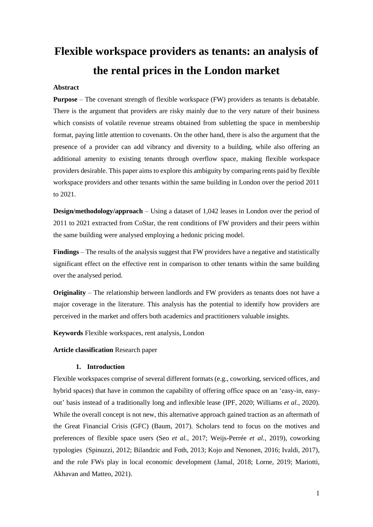# **Flexible workspace providers as tenants: an analysis of the rental prices in the London market**

# **Abstract**

**Purpose** – The covenant strength of flexible workspace (FW) providers as tenants is debatable. There is the argument that providers are risky mainly due to the very nature of their business which consists of volatile revenue streams obtained from subletting the space in membership format, paying little attention to covenants. On the other hand, there is also the argument that the presence of a provider can add vibrancy and diversity to a building, while also offering an additional amenity to existing tenants through overflow space, making flexible workspace providers desirable. This paper aims to explore this ambiguity by comparing rents paid by flexible workspace providers and other tenants within the same building in London over the period 2011 to 2021.

**Design/methodology/approach** – Using a dataset of 1,042 leases in London over the period of 2011 to 2021 extracted from CoStar, the rent conditions of FW providers and their peers within the same building were analysed employing a hedonic pricing model.

**Findings** – The results of the analysis suggest that FW providers have a negative and statistically significant effect on the effective rent in comparison to other tenants within the same building over the analysed period.

**Originality** – The relationship between landlords and FW providers as tenants does not have a major coverage in the literature. This analysis has the potential to identify how providers are perceived in the market and offers both academics and practitioners valuable insights.

**Keywords** Flexible workspaces, rent analysis, London

**Article classification** Research paper

# **1. Introduction**

Flexible workspaces comprise of several different formats (e.g., coworking, serviced offices, and hybrid spaces) that have in common the capability of offering office space on an 'easy-in, easyout' basis instead of a traditionally long and inflexible lease (IPF, 2020; Williams *et al.*, 2020). While the overall concept is not new, this alternative approach gained traction as an aftermath of the Great Financial Crisis (GFC) (Baum, 2017). Scholars tend to focus on the motives and preferences of flexible space users (Seo *et al.*, 2017; Weijs-Perrée *et al.*, 2019), coworking typologies (Spinuzzi, 2012; Bilandzic and Foth, 2013; Kojo and Nenonen, 2016; Ivaldi, 2017), and the role FWs play in local economic development (Jamal, 2018; Lorne, 2019; Mariotti, Akhavan and Matteo, 2021).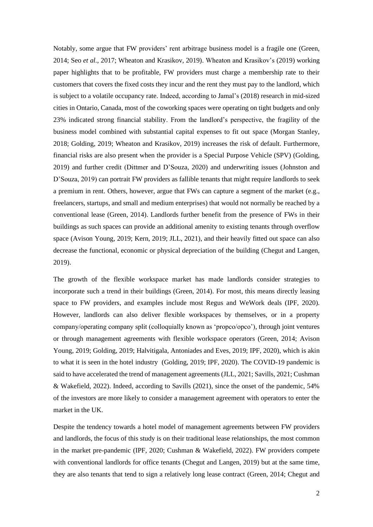Notably, some argue that FW providers' rent arbitrage business model is a fragile one (Green, 2014; Seo *et al.*, 2017; Wheaton and Krasikov, 2019). Wheaton and Krasikov's (2019) working paper highlights that to be profitable, FW providers must charge a membership rate to their customers that covers the fixed costs they incur and the rent they must pay to the landlord, which is subject to a volatile occupancy rate. Indeed, according to Jamal's (2018) research in mid-sized cities in Ontario, Canada, most of the coworking spaces were operating on tight budgets and only 23% indicated strong financial stability. From the landlord's perspective, the fragility of the business model combined with substantial capital expenses to fit out space (Morgan Stanley, 2018; Golding, 2019; Wheaton and Krasikov, 2019) increases the risk of default. Furthermore, financial risks are also present when the provider is a Special Purpose Vehicle (SPV) (Golding, 2019) and further credit (Dittmer and D'Souza, 2020) and underwriting issues (Johnston and D'Souza, 2019) can portrait FW providers as fallible tenants that might require landlords to seek a premium in rent. Others, however, argue that FWs can capture a segment of the market (e.g., freelancers, startups, and small and medium enterprises) that would not normally be reached by a conventional lease (Green, 2014). Landlords further benefit from the presence of FWs in their buildings as such spaces can provide an additional amenity to existing tenants through overflow space (Avison Young, 2019; Kern, 2019; JLL, 2021), and their heavily fitted out space can also decrease the functional, economic or physical depreciation of the building (Chegut and Langen, 2019).

The growth of the flexible workspace market has made landlords consider strategies to incorporate such a trend in their buildings (Green, 2014). For most, this means directly leasing space to FW providers, and examples include most Regus and WeWork deals (IPF, 2020). However, landlords can also deliver flexible workspaces by themselves, or in a property company/operating company split (colloquially known as 'propco/opco'), through joint ventures or through management agreements with flexible workspace operators (Green, 2014; Avison Young, 2019; Golding, 2019; Halvitigala, Antoniades and Eves, 2019; IPF, 2020), which is akin to what it is seen in the hotel industry (Golding, 2019; IPF, 2020). The COVID-19 pandemic is said to have accelerated the trend of management agreements (JLL, 2021; Savills, 2021; Cushman & Wakefield, 2022). Indeed, according to Savills (2021), since the onset of the pandemic, 54% of the investors are more likely to consider a management agreement with operators to enter the market in the UK.

Despite the tendency towards a hotel model of management agreements between FW providers and landlords, the focus of this study is on their traditional lease relationships, the most common in the market pre-pandemic (IPF, 2020; Cushman & Wakefield, 2022). FW providers compete with conventional landlords for office tenants (Chegut and Langen, 2019) but at the same time, they are also tenants that tend to sign a relatively long lease contract (Green, 2014; Chegut and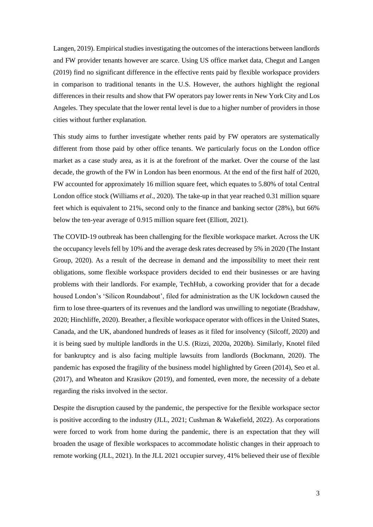Langen, 2019). Empirical studies investigating the outcomes of the interactions between landlords and FW provider tenants however are scarce. Using US office market data, Chegut and Langen (2019) find no significant difference in the effective rents paid by flexible workspace providers in comparison to traditional tenants in the U.S. However, the authors highlight the regional differences in their results and show that FW operators pay lower rents in New York City and Los Angeles. They speculate that the lower rental level is due to a higher number of providers in those cities without further explanation.

This study aims to further investigate whether rents paid by FW operators are systematically different from those paid by other office tenants. We particularly focus on the London office market as a case study area, as it is at the forefront of the market. Over the course of the last decade, the growth of the FW in London has been enormous. At the end of the first half of 2020, FW accounted for approximately 16 million square feet, which equates to 5.80% of total Central London office stock (Williams *et al.*, 2020). The take-up in that year reached 0.31 million square feet which is equivalent to 21%, second only to the finance and banking sector (28%), but 66% below the ten-year average of 0.915 million square feet (Elliott, 2021).

The COVID-19 outbreak has been challenging for the flexible workspace market. Across the UK the occupancy levels fell by 10% and the average desk rates decreased by 5% in 2020 (The Instant Group, 2020). As a result of the decrease in demand and the impossibility to meet their rent obligations, some flexible workspace providers decided to end their businesses or are having problems with their landlords. For example, TechHub, a coworking provider that for a decade housed London's 'Silicon Roundabout', filed for administration as the UK lockdown caused the firm to lose three-quarters of its revenues and the landlord was unwilling to negotiate (Bradshaw, 2020; Hinchliffe, 2020). Breather, a flexible workspace operator with offices in the United States, Canada, and the UK, abandoned hundreds of leases as it filed for insolvency (Silcoff, 2020) and it is being sued by multiple landlords in the U.S. (Rizzi, 2020a, 2020b). Similarly, Knotel filed for bankruptcy and is also facing multiple lawsuits from landlords (Bockmann, 2020). The pandemic has exposed the fragility of the business model highlighted by Green (2014), Seo et al. (2017), and Wheaton and Krasikov (2019), and fomented, even more, the necessity of a debate regarding the risks involved in the sector.

Despite the disruption caused by the pandemic, the perspective for the flexible workspace sector is positive according to the industry (JLL, 2021; Cushman & Wakefield, 2022). As corporations were forced to work from home during the pandemic, there is an expectation that they will broaden the usage of flexible workspaces to accommodate holistic changes in their approach to remote working (JLL, 2021). In the JLL 2021 occupier survey, 41% believed their use of flexible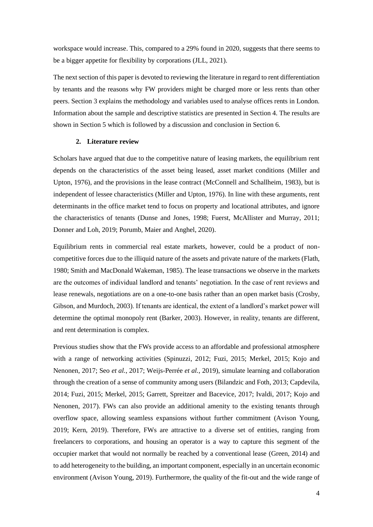workspace would increase. This, compared to a 29% found in 2020, suggests that there seems to be a bigger appetite for flexibility by corporations (JLL, 2021).

The next section of this paper is devoted to reviewing the literature in regard to rent differentiation by tenants and the reasons why FW providers might be charged more or less rents than other peers. Section 3 explains the methodology and variables used to analyse offices rents in London. Information about the sample and descriptive statistics are presented in Section 4. The results are shown in Section 5 which is followed by a discussion and conclusion in Section 6.

#### **2. Literature review**

Scholars have argued that due to the competitive nature of leasing markets, the equilibrium rent depends on the characteristics of the asset being leased, asset market conditions (Miller and Upton, 1976), and the provisions in the lease contract (McConnell and Schallheim, 1983), but is independent of lessee characteristics (Miller and Upton, 1976). In line with these arguments, rent determinants in the office market tend to focus on property and locational attributes, and ignore the characteristics of tenants (Dunse and Jones, 1998; Fuerst, McAllister and Murray, 2011; Donner and Loh, 2019; Porumb, Maier and Anghel, 2020).

Equilibrium rents in commercial real estate markets, however, could be a product of noncompetitive forces due to the illiquid nature of the assets and private nature of the markets (Flath, 1980; Smith and MacDonald Wakeman, 1985). The lease transactions we observe in the markets are the outcomes of individual landlord and tenants' negotiation. In the case of rent reviews and lease renewals, negotiations are on a one-to-one basis rather than an open market basis (Crosby, Gibson, and Murdoch, 2003). If tenants are identical, the extent of a landlord's market power will determine the optimal monopoly rent (Barker, 2003). However, in reality, tenants are different, and rent determination is complex.

Previous studies show that the FWs provide access to an affordable and professional atmosphere with a range of networking activities (Spinuzzi, 2012; Fuzi, 2015; Merkel, 2015; Kojo and Nenonen, 2017; Seo *et al.*, 2017; Weijs-Perrée *et al.*, 2019), simulate learning and collaboration through the creation of a sense of community among users (Bilandzic and Foth, 2013; Capdevila, 2014; Fuzi, 2015; Merkel, 2015; Garrett, Spreitzer and Bacevice, 2017; Ivaldi, 2017; Kojo and Nenonen, 2017). FWs can also provide an additional amenity to the existing tenants through overflow space, allowing seamless expansions without further commitment (Avison Young, 2019; Kern, 2019). Therefore, FWs are attractive to a diverse set of entities, ranging from freelancers to corporations, and housing an operator is a way to capture this segment of the occupier market that would not normally be reached by a conventional lease (Green, 2014) and to add heterogeneity to the building, an important component, especially in an uncertain economic environment (Avison Young, 2019). Furthermore, the quality of the fit-out and the wide range of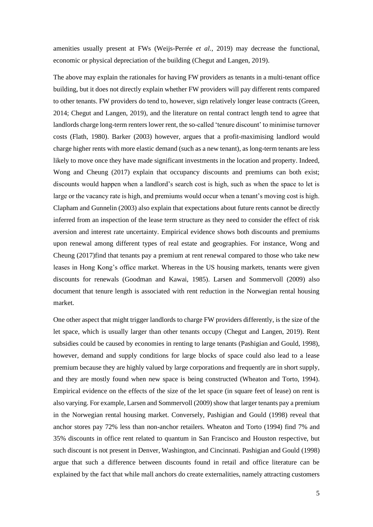amenities usually present at FWs (Weijs-Perrée *et al.*, 2019) may decrease the functional, economic or physical depreciation of the building (Chegut and Langen, 2019).

The above may explain the rationales for having FW providers as tenants in a multi-tenant office building, but it does not directly explain whether FW providers will pay different rents compared to other tenants. FW providers do tend to, however, sign relatively longer lease contracts (Green, 2014; Chegut and Langen, 2019), and the literature on rental contract length tend to agree that landlords charge long-term renters lower rent, the so-called 'tenure discount' to minimise turnover costs (Flath, 1980). Barker (2003) however, argues that a profit-maximising landlord would charge higher rents with more elastic demand (such as a new tenant), as long-term tenants are less likely to move once they have made significant investments in the location and property. Indeed, Wong and Cheung (2017) explain that occupancy discounts and premiums can both exist; discounts would happen when a landlord's search cost is high, such as when the space to let is large or the vacancy rate is high, and premiums would occur when a tenant's moving cost is high. Clapham and Gunnelin (2003) also explain that expectations about future rents cannot be directly inferred from an inspection of the lease term structure as they need to consider the effect of risk aversion and interest rate uncertainty. Empirical evidence shows both discounts and premiums upon renewal among different types of real estate and geographies. For instance, Wong and Cheung (2017)find that tenants pay a premium at rent renewal compared to those who take new leases in Hong Kong's office market. Whereas in the US housing markets, tenants were given discounts for renewals (Goodman and Kawai, 1985). Larsen and Sommervoll (2009) also document that tenure length is associated with rent reduction in the Norwegian rental housing market.

One other aspect that might trigger landlords to charge FW providers differently, is the size of the let space, which is usually larger than other tenants occupy (Chegut and Langen, 2019). Rent subsidies could be caused by economies in renting to large tenants (Pashigian and Gould, 1998), however, demand and supply conditions for large blocks of space could also lead to a lease premium because they are highly valued by large corporations and frequently are in short supply, and they are mostly found when new space is being constructed (Wheaton and Torto, 1994). Empirical evidence on the effects of the size of the let space (in square feet of lease) on rent is also varying. For example, Larsen and Sommervoll (2009) show that larger tenants pay a premium in the Norwegian rental housing market. Conversely, Pashigian and Gould (1998) reveal that anchor stores pay 72% less than non-anchor retailers. Wheaton and Torto (1994) find 7% and 35% discounts in office rent related to quantum in San Francisco and Houston respective, but such discount is not present in Denver, Washington, and Cincinnati. Pashigian and Gould (1998) argue that such a difference between discounts found in retail and office literature can be explained by the fact that while mall anchors do create externalities, namely attracting customers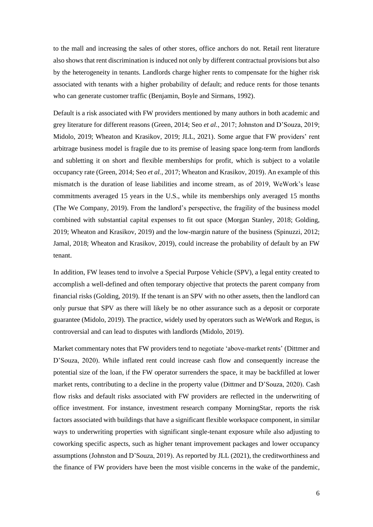to the mall and increasing the sales of other stores, office anchors do not. Retail rent literature also shows that rent discrimination is induced not only by different contractual provisions but also by the heterogeneity in tenants. Landlords charge higher rents to compensate for the higher risk associated with tenants with a higher probability of default; and reduce rents for those tenants who can generate customer traffic (Benjamin, Boyle and Sirmans, 1992).

Default is a risk associated with FW providers mentioned by many authors in both academic and grey literature for different reasons (Green, 2014; Seo *et al.*, 2017; Johnston and D'Souza, 2019; Midolo, 2019; Wheaton and Krasikov, 2019; JLL, 2021). Some argue that FW providers' rent arbitrage business model is fragile due to its premise of leasing space long-term from landlords and subletting it on short and flexible memberships for profit, which is subject to a volatile occupancy rate (Green, 2014; Seo *et al.*, 2017; Wheaton and Krasikov, 2019). An example of this mismatch is the duration of lease liabilities and income stream, as of 2019, WeWork's lease commitments averaged 15 years in the U.S., while its memberships only averaged 15 months (The We Company, 2019). From the landlord's perspective, the fragility of the business model combined with substantial capital expenses to fit out space (Morgan Stanley, 2018; Golding, 2019; Wheaton and Krasikov, 2019) and the low-margin nature of the business (Spinuzzi, 2012; Jamal, 2018; Wheaton and Krasikov, 2019), could increase the probability of default by an FW tenant.

In addition, FW leases tend to involve a Special Purpose Vehicle (SPV), a legal entity created to accomplish a well-defined and often temporary objective that protects the parent company from financial risks (Golding, 2019). If the tenant is an SPV with no other assets, then the landlord can only pursue that SPV as there will likely be no other assurance such as a deposit or corporate guarantee (Midolo, 2019). The practice, widely used by operators such as WeWork and Regus, is controversial and can lead to disputes with landlords (Midolo, 2019).

Market commentary notes that FW providers tend to negotiate 'above-market rents' (Dittmer and D'Souza, 2020). While inflated rent could increase cash flow and consequently increase the potential size of the loan, if the FW operator surrenders the space, it may be backfilled at lower market rents, contributing to a decline in the property value (Dittmer and D'Souza, 2020). Cash flow risks and default risks associated with FW providers are reflected in the underwriting of office investment. For instance, investment research company MorningStar, reports the risk factors associated with buildings that have a significant flexible workspace component, in similar ways to underwriting properties with significant single-tenant exposure while also adjusting to coworking specific aspects, such as higher tenant improvement packages and lower occupancy assumptions (Johnston and D'Souza, 2019). As reported by JLL (2021), the creditworthiness and the finance of FW providers have been the most visible concerns in the wake of the pandemic,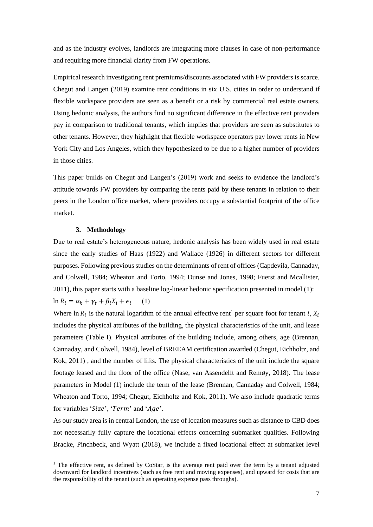and as the industry evolves, landlords are integrating more clauses in case of non-performance and requiring more financial clarity from FW operations.

Empirical research investigating rent premiums/discounts associated with FW providers is scarce. Chegut and Langen (2019) examine rent conditions in six U.S. cities in order to understand if flexible workspace providers are seen as a benefit or a risk by commercial real estate owners. Using hedonic analysis, the authors find no significant difference in the effective rent providers pay in comparison to traditional tenants, which implies that providers are seen as substitutes to other tenants. However, they highlight that flexible workspace operators pay lower rents in New York City and Los Angeles, which they hypothesized to be due to a higher number of providers in those cities.

This paper builds on Chegut and Langen's (2019) work and seeks to evidence the landlord's attitude towards FW providers by comparing the rents paid by these tenants in relation to their peers in the London office market, where providers occupy a substantial footprint of the office market.

#### **3. Methodology**

Due to real estate's heterogeneous nature, hedonic analysis has been widely used in real estate since the early studies of Haas (1922) and Wallace (1926) in different sectors for different purposes. Following previous studies on the determinants of rent of offices (Capdevila, Cannaday, and Colwell, 1984; Wheaton and Torto, 1994; Dunse and Jones, 1998; Fuerst and Mcallister, 2011), this paper starts with a baseline log-linear hedonic specification presented in model (1):  $\ln R_i = \alpha_k + \gamma_t + \beta_i X_i + \epsilon_i$ (1)

Where  $\ln R_i$  is the natural logarithm of the annual effective rent<sup>1</sup> per square foot for tenant i,  $X_i$ includes the physical attributes of the building, the physical characteristics of the unit, and lease parameters (Table I). Physical attributes of the building include, among others, age (Brennan, Cannaday, and Colwell, 1984), level of BREEAM certification awarded (Chegut, Eichholtz, and Kok, 2011) , and the number of lifts. The physical characteristics of the unit include the square footage leased and the floor of the office (Nase, van Assendelft and Remøy, 2018). The lease parameters in Model (1) include the term of the lease (Brennan, Cannaday and Colwell, 1984; Wheaton and Torto, 1994; Chegut, Eichholtz and Kok, 2011). We also include quadratic terms for variables ' $Size'$ , ' $Term'$  and ' $Age'$ .

As our study area is in central London, the use of location measures such as distance to CBD does not necessarily fully capture the locational effects concerning submarket qualities. Following Bracke, Pinchbeck, and Wyatt (2018), we include a fixed locational effect at submarket level

<sup>&</sup>lt;sup>1</sup> The effective rent, as defined by CoStar, is the average rent paid over the term by a tenant adjusted downward for landlord incentives (such as free rent and moving expenses), and upward for costs that are the responsibility of the tenant (such as operating expense pass throughs).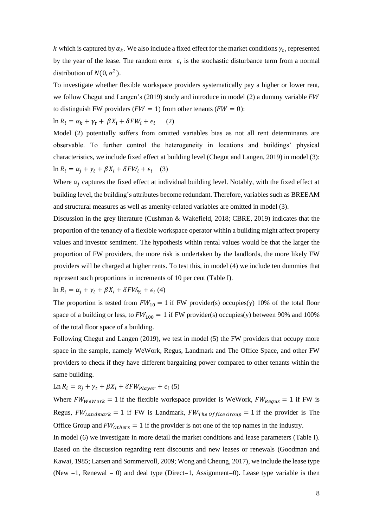k which is captured by  $\alpha_k$ . We also include a fixed effect for the market conditions  $\gamma_t$ , represented by the year of the lease. The random error  $\epsilon_i$  is the stochastic disturbance term from a normal distribution of  $N(0, \sigma^2)$ .

To investigate whether flexible workspace providers systematically pay a higher or lower rent, we follow Chegut and Langen's (2019) study and introduce in model (2) a dummy variable  $FW$ to distinguish FW providers ( $FW = 1$ ) from other tenants ( $FW = 0$ ):

 $\ln R_i = \alpha_k + \gamma_t + \beta X_i + \delta F W_i + \epsilon_i$  (2)

Model (2) potentially suffers from omitted variables bias as not all rent determinants are observable. To further control the heterogeneity in locations and buildings' physical characteristics, we include fixed effect at building level (Chegut and Langen, 2019) in model (3):  $\ln R_i = \alpha_j + \gamma_t + \beta X_i + \delta F W_i + \epsilon_i$  (3)

Where  $\alpha_i$  captures the fixed effect at individual building level. Notably, with the fixed effect at building level, the building's attributes become redundant. Therefore, variables such as BREEAM and structural measures as well as amenity-related variables are omitted in model (3).

Discussion in the grey literature (Cushman & Wakefield, 2018; CBRE, 2019) indicates that the proportion of the tenancy of a flexible workspace operator within a building might affect property values and investor sentiment. The hypothesis within rental values would be that the larger the proportion of FW providers, the more risk is undertaken by the landlords, the more likely FW providers will be charged at higher rents. To test this, in model (4) we include ten dummies that represent such proportions in increments of 10 per cent (Table I).

 $\ln R_i = \alpha_j + \gamma_t + \beta X_i + \delta F W_{\%} + \epsilon_i$  (4)

The proportion is tested from  $FW_{10} = 1$  if FW provider(s) occupies(y) 10% of the total floor space of a building or less, to  $FW_{100} = 1$  if FW provider(s) occupies(y) between 90% and 100% of the total floor space of a building.

Following Chegut and Langen (2019), we test in model (5) the FW providers that occupy more space in the sample, namely WeWork, Regus, Landmark and The Office Space, and other FW providers to check if they have different bargaining power compared to other tenants within the same building.

 $\text{Ln } R_i = \alpha_j + \gamma_t + \beta X_i + \delta F W_{Player} + \epsilon_i$  (5)

Where  $FW_{Wework} = 1$  if the flexible workspace provider is WeWork,  $FW_{Reques} = 1$  if FW is Regus,  $FW_{Landmark} = 1$  if FW is Landmark,  $FW_{The\, of\, face\, Group} = 1$  if the provider is The Office Group and  $FW_{others} = 1$  if the provider is not one of the top names in the industry.

In model (6) we investigate in more detail the market conditions and lease parameters (Table I). Based on the discussion regarding rent discounts and new leases or renewals (Goodman and Kawai, 1985; Larsen and Sommervoll, 2009; Wong and Cheung, 2017), we include the lease type (New  $=1$ , Renewal  $= 0$ ) and deal type (Direct  $=1$ , Assignment  $= 0$ ). Lease type variable is then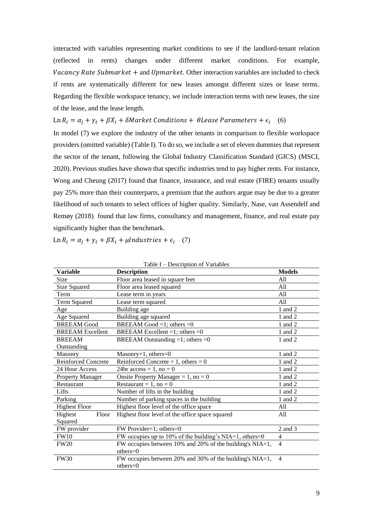interacted with variables representing market conditions to see if the landlord-tenant relation (reflected in rents) changes under different market conditions. For example, *Vacancy Rate Submarket* + and *Upmarket*. Other interaction variables are included to check if rents are systematically different for new leases amongst different sizes or lease terms. Regarding the flexible workspace tenancy, we include interaction terms with new leases, the size of the lease, and the lease length.

Ln  $R_i = \alpha_j + \gamma_t + \beta X_i + \delta$ Market Conditions +  $\theta$ Lease Parameters +  $\epsilon_i$  (6)

In model (7) we explore the industry of the other tenants in comparison to flexible workspace providers (omitted variable) (Table I). To do so, we include a set of eleven dummies that represent the sector of the tenant, following the Global Industry Classification Standard (GICS) (MSCI, 2020). Previous studies have shown that specific industries tend to pay higher rents. For instance, Wong and Cheung (2017) found that finance, insurance, and real estate (FIRE) tenants usually pay 25% more than their counterparts, a premium that the authors argue may be due to a greater likelihood of such tenants to select offices of higher quality. Similarly, Nase, van Assendelf and Remøy (2018) found that law firms, consultancy and management, finance, and real estate pay significantly higher than the benchmark.

Ln  $R_i = \alpha_j + \gamma_t + \beta X_i + \mu$ Industries +  $\epsilon_i$  (7)

| <b>Variable</b>            | <b>Description</b>                                          | <b>Models</b>  |
|----------------------------|-------------------------------------------------------------|----------------|
| Size                       | Floor area leased in square feet                            | A11            |
| Size Squared               | Floor area leased squared                                   | All            |
| Term                       | Lease term in years                                         | All            |
| Term Squared               | Lease term squared                                          | All            |
| Age                        | Building age                                                | 1 and 2        |
| Age Squared                | Building age squared                                        | 1 and 2        |
| <b>BREEAM</b> Good         | BREEAM Good =1; others =0                                   | 1 and 2        |
| <b>BREEAM</b> Excellent    | BREEAM Excellent =1; others =0                              | 1 and 2        |
| <b>BREEAM</b>              | BREEAM Outstanding $=1$ ; others $=0$                       | 1 and 2        |
| Outstanding                |                                                             |                |
| Masonry                    | Masonry=1, others= $0$                                      | 1 and 2        |
| <b>Reinforced Concrete</b> | Reinforced Concrete = $1$ , others = 0                      | 1 and 2        |
| 24 Hour Access             | 24hr access = $1$ , no = 0                                  | 1 and 2        |
| Property Manager           | Onsite Property Manager = $1$ , no = 0                      | 1 and 2        |
| Restaurant                 | Restaurant = 1, no = 0                                      | 1 and 2        |
| Lifts                      | Number of lifts in the building                             | 1 and 2        |
| Parking                    | Number of parking spaces in the building                    | 1 and 2        |
| <b>Highest Floor</b>       | Highest floor level of the office space                     | All            |
| Highest<br>Floor           | Highest floor level of the office space squared             | All            |
| Squared                    |                                                             |                |
| FW provider                | FW Provider=1; others=0                                     | 2 and 3        |
| <b>FW10</b>                | FW occupies up to 10% of the building's NIA=1, others=0     | 4              |
| <b>FW20</b>                | FW occupies between 10% and 20% of the building's NIA=1,    | $\overline{4}$ |
|                            | $others=0$                                                  |                |
| <b>FW30</b>                | FW occupies between 20% and 30% of the building's $NIA=1$ , | $\overline{4}$ |
|                            | $others = 0$                                                |                |

Table I – Description of Variables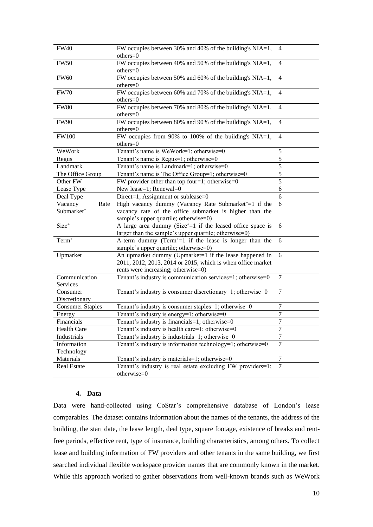| <b>FW40</b>               | FW occupies between 30% and 40% of the building's $\overline{NIA=1}$ ,<br>others=0                                                                           | 4                |
|---------------------------|--------------------------------------------------------------------------------------------------------------------------------------------------------------|------------------|
| <b>FW50</b>               | FW occupies between 40% and 50% of the building's NIA=1,<br>others=0                                                                                         | 4                |
| <b>FW60</b>               | FW occupies between 50% and 60% of the building's NIA=1,<br>others=0                                                                                         |                  |
| <b>FW70</b>               | FW occupies between 60% and 70% of the building's NIA=1,<br>others=0                                                                                         |                  |
| <b>FW80</b>               | FW occupies between 70% and 80% of the building's NIA=1,<br>others=0                                                                                         | 4                |
| <b>FW90</b>               | FW occupies between 80% and 90% of the building's NIA=1,<br>others=0                                                                                         | 4                |
| <b>FW100</b>              | FW occupies from 90% to 100% of the building's NIA=1,<br>others=0                                                                                            | $\overline{4}$   |
| WeWork                    | Tenant's name is WeWork=1; otherwise=0                                                                                                                       | 5                |
| Regus                     | Tenant's name is Regus=1; otherwise=0                                                                                                                        | 5                |
| Landmark                  | Tenant's name is Landmark=1; otherwise=0                                                                                                                     | 5                |
| The Office Group          | Tenant's name is The Office Group=1; otherwise=0                                                                                                             | 5                |
| Other FW                  | FW provider other than top four=1; otherwise= $0$                                                                                                            | 5                |
| Lease Type                | New lease=1; Renewal=0                                                                                                                                       | 6                |
| Deal Type                 | Direct=1; Assignment or sublease=0                                                                                                                           | 6                |
| Vacancy<br>Rate           | High vacancy dummy (Vacancy Rate Submarket <sup>+</sup> =1 if the                                                                                            | 6                |
| Submarket <sup>+</sup>    | vacancy rate of the office submarket is higher than the<br>sample's upper quartile; otherwise=0)                                                             |                  |
| Size <sup>+</sup>         | A large area dummy (Size <sup><math>+=</math></sup> 1 if the leased office space is<br>larger than the sample's upper quartile; otherwise=0)                 | 6                |
| $Term+$                   | A-term dummy (Term <sup>+</sup> =1 if the lease is longer than the<br>sample's upper quartile; otherwise=0)                                                  | 6                |
| Upmarket                  | An upmarket dummy (Upmarket=1 if the lease happened in<br>2011, 2012, 2013, 2014 or 2015, which is when office market<br>rents were increasing; otherwise=0) | 6                |
| Communication<br>Services | Tenant's industry is communication services=1; otherwise=0                                                                                                   | 7                |
| Consumer<br>Discretionary | Tenant's industry is consumer discretionary=1; otherwise=0                                                                                                   | $\tau$           |
| <b>Consumer Staples</b>   | Tenant's industry is consumer staples=1; otherwise=0                                                                                                         | $\tau$           |
| Energy                    | Tenant's industry is energy=1; otherwise=0                                                                                                                   | $\boldsymbol{7}$ |
| Financials                | Tenant's industry is financials=1; otherwise=0                                                                                                               | $\overline{7}$   |
| <b>Health Care</b>        | Tenant's industry is health care=1; otherwise=0                                                                                                              | 7                |
| Industrials               | Tenant's industry is industrials=1; otherwise=0                                                                                                              | $\tau$           |
| Information<br>Technology | Tenant's industry is information technology=1; otherwise=0                                                                                                   | $\overline{7}$   |
| Materials                 | Tenant's industry is materials=1; otherwise=0                                                                                                                | $\tau$           |
| Real Estate               | Tenant's industry is real estate excluding FW providers=1;<br>otherwise=0                                                                                    | $\tau$           |

# **4. Data**

Data were hand-collected using CoStar's comprehensive database of London's lease comparables. The dataset contains information about the names of the tenants, the address of the building, the start date, the lease length, deal type, square footage, existence of breaks and rentfree periods, effective rent, type of insurance, building characteristics, among others. To collect lease and building information of FW providers and other tenants in the same building, we first searched individual flexible workspace provider names that are commonly known in the market. While this approach worked to gather observations from well-known brands such as WeWork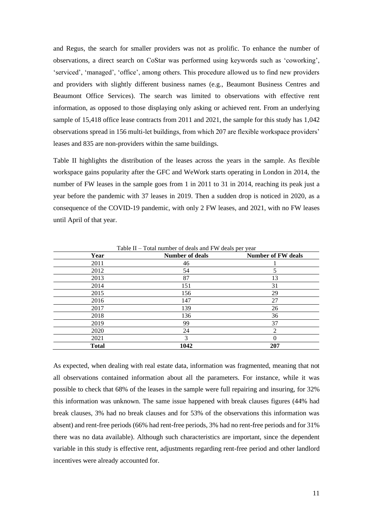and Regus, the search for smaller providers was not as prolific. To enhance the number of observations, a direct search on CoStar was performed using keywords such as 'coworking', 'serviced', 'managed', 'office', among others. This procedure allowed us to find new providers and providers with slightly different business names (e.g., Beaumont Business Centres and Beaumont Office Services). The search was limited to observations with effective rent information, as opposed to those displaying only asking or achieved rent. From an underlying sample of 15,418 office lease contracts from 2011 and 2021, the sample for this study has 1,042 observations spread in 156 multi-let buildings, from which 207 are flexible workspace providers' leases and 835 are non-providers within the same buildings.

Table II highlights the distribution of the leases across the years in the sample. As flexible workspace gains popularity after the GFC and WeWork starts operating in London in 2014, the number of FW leases in the sample goes from 1 in 2011 to 31 in 2014, reaching its peak just a year before the pandemic with 37 leases in 2019. Then a sudden drop is noticed in 2020, as a consequence of the COVID-19 pandemic, with only 2 FW leases, and 2021, with no FW leases until April of that year.

| Year         | <b>Number of deals</b> | <b>Number of FW deals</b> |
|--------------|------------------------|---------------------------|
| 2011         | 46                     |                           |
| 2012         | 54                     |                           |
| 2013         | 87                     | 13                        |
| 2014         | 151                    | 31                        |
| 2015         | 156                    | 29                        |
| 2016         | 147                    | 27                        |
| 2017         | 139                    | 26                        |
| 2018         | 136                    | 36                        |
| 2019         | 99                     | 37                        |
| 2020         | 24                     | $\mathfrak{D}$            |
| 2021         | 3                      | 0                         |
| <b>Total</b> | 1042                   | 207                       |

Table II – Total number of deals and FW deals per year

As expected, when dealing with real estate data, information was fragmented, meaning that not all observations contained information about all the parameters. For instance, while it was possible to check that 68% of the leases in the sample were full repairing and insuring, for 32% this information was unknown. The same issue happened with break clauses figures (44% had break clauses, 3% had no break clauses and for 53% of the observations this information was absent) and rent-free periods (66% had rent-free periods, 3% had no rent-free periods and for 31% there was no data available). Although such characteristics are important, since the dependent variable in this study is effective rent, adjustments regarding rent-free period and other landlord incentives were already accounted for.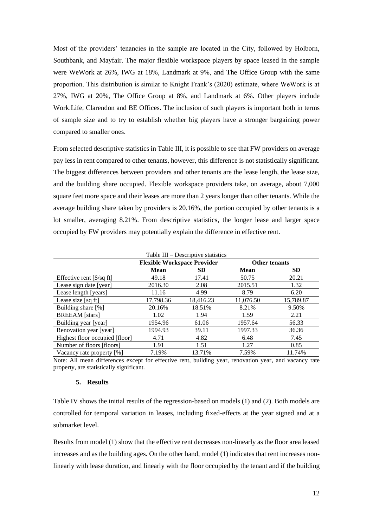Most of the providers' tenancies in the sample are located in the City, followed by Holborn, Southbank, and Mayfair. The major flexible workspace players by space leased in the sample were WeWork at 26%, IWG at 18%, Landmark at 9%, and The Office Group with the same proportion. This distribution is similar to Knight Frank's (2020) estimate, where WeWork is at 27%, IWG at 20%, The Office Group at 8%, and Landmark at 6%. Other players include Work.Life, Clarendon and BE Offices. The inclusion of such players is important both in terms of sample size and to try to establish whether big players have a stronger bargaining power compared to smaller ones.

From selected descriptive statistics in Table III, it is possible to see that FW providers on average pay less in rent compared to other tenants, however, this difference is not statistically significant. The biggest differences between providers and other tenants are the lease length, the lease size, and the building share occupied. Flexible workspace providers take, on average, about 7,000 square feet more space and their leases are more than 2 years longer than other tenants. While the average building share taken by providers is 20.16%, the portion occupied by other tenants is a lot smaller, averaging 8.21%. From descriptive statistics, the longer lease and larger space occupied by FW providers may potentially explain the difference in effective rent.

|                                                       | <b>Flexible Workspace Provider</b> |           | <b>Other tenants</b> |           |
|-------------------------------------------------------|------------------------------------|-----------|----------------------|-----------|
|                                                       | <b>Mean</b>                        | <b>SD</b> | <b>Mean</b>          | <b>SD</b> |
| Effective rent $\left[\frac{8}{sq} \text{ ft}\right]$ | 49.18                              | 17.41     | 50.75                | 20.21     |
| Lease sign date [year]                                | 2016.30                            | 2.08      | 2015.51              | 1.32      |
| Lease length [years]                                  | 11.16                              | 4.99      | 8.79                 | 6.20      |
| Lease size [sq ft]                                    | 17,798.36                          | 18,416.23 | 11,076.50            | 15,789.87 |
| Building share [%]                                    | 20.16%                             | 18.51%    | 8.21%                | 9.50%     |
| <b>BREEAM</b> [stars]                                 | 1.02                               | 1.94      | 1.59                 | 2.21      |
| Building year [year]                                  | 1954.96                            | 61.06     | 1957.64              | 56.33     |
| Renovation year [year]                                | 1994.93                            | 39.11     | 1997.33              | 36.36     |
| Highest floor occupied [floor]                        | 4.71                               | 4.82      | 6.48                 | 7.45      |
| Number of floors [floors]                             | 1.91                               | 1.51      | 1.27                 | 0.85      |
| Vacancy rate property [%]                             | 7.19%                              | 13.71%    | 7.59%                | 11.74%    |

Table III – Descriptive statistics

Note: All mean differences except for effective rent, building year, renovation year, and vacancy rate property, are statistically significant.

#### **5. Results**

Table IV shows the initial results of the regression-based on models (1) and (2). Both models are controlled for temporal variation in leases, including fixed-effects at the year signed and at a submarket level.

Results from model (1) show that the effective rent decreases non-linearly as the floor area leased increases and as the building ages. On the other hand, model (1) indicates that rent increases nonlinearly with lease duration, and linearly with the floor occupied by the tenant and if the building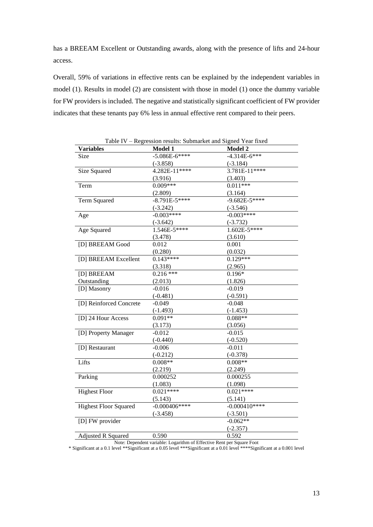has a BREEAM Excellent or Outstanding awards, along with the presence of lifts and 24-hour access.

Overall, 59% of variations in effective rents can be explained by the independent variables in model (1). Results in model (2) are consistent with those in model (1) once the dummy variable for FW providers is included. The negative and statistically significant coefficient of FW provider indicates that these tenants pay 6% less in annual effective rent compared to their peers.

| Table IV - Regression results: Submarket and Signed Year fixed |                  |                  |  |  |
|----------------------------------------------------------------|------------------|------------------|--|--|
| <b>Variables</b>                                               | Model 1          | Model 2          |  |  |
| Size                                                           | $-5.086E-6***$   | $-4.314E-6***$   |  |  |
|                                                                | $(-3.858)$       | $(-3.184)$       |  |  |
| Size Squared                                                   | $4.282E-11$ **** | $3.781E-11***$   |  |  |
|                                                                | (3.916)          | (3.403)          |  |  |
| Term                                                           | $0.009***$       | $0.011***$       |  |  |
|                                                                | (2.809)          | (3.164)          |  |  |
| Term Squared                                                   | $-8.791E - 5***$ | $-9.682E - 5***$ |  |  |
|                                                                | $(-3.242)$       | $(-3.546)$       |  |  |
| Age                                                            | $-0.003***$      | $-0.003****$     |  |  |
|                                                                | $(-3.642)$       | $(-3.732)$       |  |  |
| Age Squared                                                    | $1.546E - 5***$  | $1.602E - 5***$  |  |  |
|                                                                | (3.478)          | (3.610)          |  |  |
| [D] BREEAM Good                                                | 0.012            | 0.001            |  |  |
|                                                                | (0.280)          | (0.032)          |  |  |
| [D] BREEAM Excellent                                           | $0.143***$       | $0.129***$       |  |  |
|                                                                | (3.318)          | (2.965)          |  |  |
| [D] BREEAM                                                     | $0.216$ ***      | $0.196*$         |  |  |
| Outstanding                                                    | (2.013)          | (1.826)          |  |  |
| [D] Masonry                                                    | $-0.016$         | $-0.019$         |  |  |
|                                                                | $(-0.481)$       | $(-0.591)$       |  |  |
| [D] Reinforced Concrete                                        | $-0.049$         | $-0.048$         |  |  |
|                                                                | $(-1.493)$       | $(-1.453)$       |  |  |
| [D] 24 Hour Access                                             | $0.091**$        | $0.088**$        |  |  |
|                                                                | (3.173)          | (3.056)          |  |  |
| [D] Property Manager                                           | $-0.012$         | $-0.015$         |  |  |
|                                                                | $(-0.440)$       | $(-0.520)$       |  |  |
| [D] Restaurant                                                 | $-0.006$         | $-0.011$         |  |  |
|                                                                | $(-0.212)$       | $(-0.378)$       |  |  |
| Lifts                                                          | $0.008**$        | $0.008**$        |  |  |
|                                                                | (2.219)          | (2.249)          |  |  |
| Parking                                                        | 0.000252         | 0.000255         |  |  |
|                                                                | (1.083)          | (1.098)          |  |  |
| <b>Highest Floor</b>                                           | $0.021***$       | $0.021***$       |  |  |
|                                                                | (5.143)          | (5.141)          |  |  |
| <b>Highest Floor Squared</b>                                   | $-0.000406***$   | $-0.000410***$   |  |  |
|                                                                | $(-3.458)$       | $(-3.501)$       |  |  |
| [D] FW provider                                                |                  | $-0.062**$       |  |  |
|                                                                |                  | $(-2.357)$       |  |  |
| <b>Adjusted R Squared</b>                                      | 0.590            | 0.592            |  |  |

Note: Dependent variable: Logarithm of Effective Rent per Square Foot

\* Significant at a 0.1 level \*\*Significant at a 0.05 level \*\*\*Significant at a 0.01 level \*\*\*\*Significant at a 0.001 level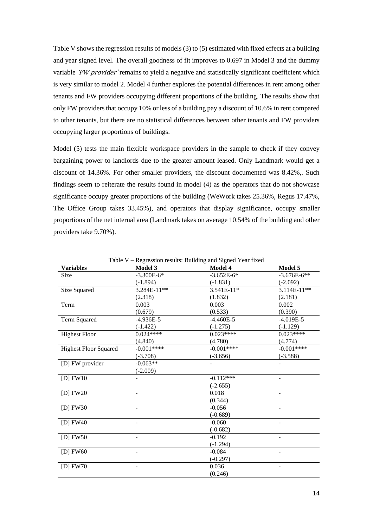Table V shows the regression results of models (3) to (5) estimated with fixed effects at a building and year signed level. The overall goodness of fit improves to 0.697 in Model 3 and the dummy variable 'FW provider' remains to yield a negative and statistically significant coefficient which is very similar to model 2. Model 4 further explores the potential differences in rent among other tenants and FW providers occupying different proportions of the building. The results show that only FW providers that occupy 10% or less of a building pay a discount of 10.6% in rent compared to other tenants, but there are no statistical differences between other tenants and FW providers occupying larger proportions of buildings.

Model (5) tests the main flexible workspace providers in the sample to check if they convey bargaining power to landlords due to the greater amount leased. Only Landmark would get a discount of 14.36%. For other smaller providers, the discount documented was 8.42%,. Such findings seem to reiterate the results found in model (4) as the operators that do not showcase significance occupy greater proportions of the building (WeWork takes 25.36%, Regus 17.47%, The Office Group takes 33.45%), and operators that display significance, occupy smaller proportions of the net internal area (Landmark takes on average 10.54% of the building and other providers take 9.70%).

| <b>Variables</b>             | Model 3      | Model 4      | Model 5       |
|------------------------------|--------------|--------------|---------------|
| Size                         | $-3.300E-6*$ | $-3.652E-6*$ | $-3.676E-6**$ |
|                              | $(-1.894)$   | $(-1.831)$   | $(-2.092)$    |
| Size Squared                 | 3.284E-11**  | 3.541E-11*   | 3.114E-11**   |
|                              | (2.318)      | (1.832)      | (2.181)       |
| Term                         | 0.003        | 0.003        | 0.002         |
|                              | (0.679)      | (0.533)      | (0.390)       |
| Term Squared                 | $-4.936E-5$  | $-4.460E-5$  | $-4.019E-5$   |
|                              | $(-1.422)$   | $(-1.275)$   | $(-1.129)$    |
| <b>Highest Floor</b>         | $0.024***$   | $0.023***$   | $0.023***$    |
|                              | (4.840)      | (4.780)      | (4.774)       |
| <b>Highest Floor Squared</b> | $-0.001***$  | $-0.001***$  | $-0.001***$   |
|                              | $(-3.708)$   | $(-3.656)$   | $(-3.588)$    |
| [D] FW provider              | $-0.063**$   |              |               |
|                              | $(-2.009)$   |              |               |
| $[D]$ FW10                   |              | $-0.112***$  |               |
|                              |              | $(-2.655)$   |               |
| [D] $FW20$                   |              | 0.018        |               |
|                              |              | (0.344)      |               |
| $[D]$ FW30                   |              | $-0.056$     |               |
|                              |              | $(-0.689)$   |               |
| [D] $FW40$                   |              | $-0.060$     |               |
|                              |              | $(-0.682)$   |               |
| [D] $FW50$                   |              | $-0.192$     |               |
|                              |              | $(-1.294)$   |               |
| [D] $FW60$                   |              | $-0.084$     |               |
|                              |              | $(-0.297)$   |               |
| [D] $FW70$                   |              | 0.036        |               |
|                              |              | (0.246)      |               |

Table V – Regression results: Building and Signed Year fixed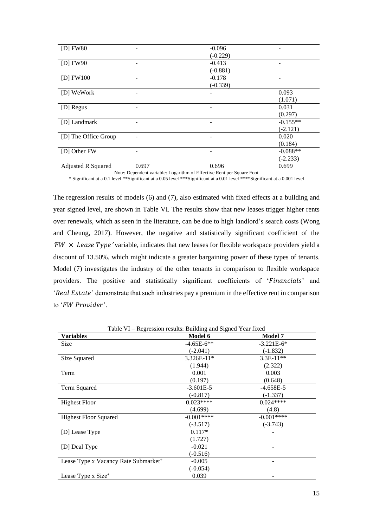| $[D]$ FW80                |                 | $-0.096$   |            |
|---------------------------|-----------------|------------|------------|
|                           |                 | $(-0.229)$ |            |
| $[D]$ FW90                |                 | $-0.413$   |            |
|                           |                 | $(-0.881)$ |            |
| $[D]$ FW100               | $\qquad \qquad$ | $-0.178$   |            |
|                           |                 | $(-0.339)$ |            |
| [D] WeWork                |                 |            | 0.093      |
|                           |                 |            | (1.071)    |
| [D] Regus                 |                 |            | 0.031      |
|                           |                 |            | (0.297)    |
| [D] Landmark              | $\qquad \qquad$ |            | $-0.155**$ |
|                           |                 |            | $(-2.121)$ |
| [D] The Office Group      |                 |            | 0.020      |
|                           |                 |            | (0.184)    |
| [D] Other FW              | ٠               |            | $-0.088**$ |
|                           |                 |            | $(-2.233)$ |
| <b>Adjusted R Squared</b> | 0.697           | 0.696      | 0.699      |

Note: Dependent variable: Logarithm of Effective Rent per Square Foot \* Significant at a 0.1 level \*\*Significant at a 0.05 level \*\*\*Significant at a 0.01 level \*\*\*\*Significant at a 0.001 level

The regression results of models (6) and (7), also estimated with fixed effects at a building and year signed level, are shown in Table VI. The results show that new leases trigger higher rents over renewals, which as seen in the literature, can be due to high landlord's search costs (Wong and Cheung, 2017). However, the negative and statistically significant coefficient of the  $FW \times Lease Type'$  variable, indicates that new leases for flexible workspace providers yield a discount of 13.50%, which might indicate a greater bargaining power of these types of tenants. Model (7) investigates the industry of the other tenants in comparison to flexible workspace providers. The positive and statistically significant coefficients of 'Financials' and 'Real Estate' demonstrate that such industries pay a premium in the effective rent in comparison to 'FW Provider'.

| Table VI – Regression results: Building and Signed Year fixed |              |                |  |  |
|---------------------------------------------------------------|--------------|----------------|--|--|
| Variables                                                     | Model 6      | <b>Model 7</b> |  |  |
| <b>Size</b>                                                   | $-4.65E-6**$ | $-3.221E-6*$   |  |  |
|                                                               | $(-2.041)$   | $(-1.832)$     |  |  |
| Size Squared                                                  | $3.326E-11*$ | $3.3E-11**$    |  |  |
|                                                               | (1.944)      | (2.322)        |  |  |
| Term                                                          | 0.001        | 0.003          |  |  |
|                                                               | (0.197)      | (0.648)        |  |  |
| Term Squared                                                  | $-3.601E-5$  | $-4.658E-5$    |  |  |
|                                                               | $(-0.817)$   | $(-1.337)$     |  |  |
| <b>Highest Floor</b>                                          | $0.023***$   | $0.024***$     |  |  |
|                                                               | (4.699)      | (4.8)          |  |  |
| <b>Highest Floor Squared</b>                                  | $-0.001***$  | $-0.001***$    |  |  |
|                                                               | $(-3.517)$   | $(-3.743)$     |  |  |
| [D] Lease Type                                                | $0.117*$     |                |  |  |
|                                                               | (1.727)      |                |  |  |
| [D] Deal Type                                                 | $-0.021$     |                |  |  |
|                                                               | $(-0.516)$   |                |  |  |
| Lease Type x Vacancy Rate Submarket <sup>+</sup>              | $-0.005$     |                |  |  |
|                                                               | (-0.054)     |                |  |  |
| Lease Type x Size <sup>+</sup>                                | 0.039        |                |  |  |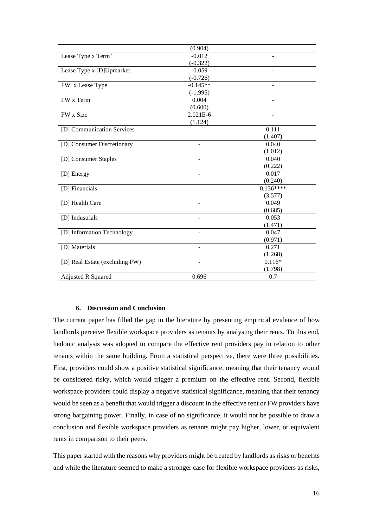|                                | (0.904)                  |                          |
|--------------------------------|--------------------------|--------------------------|
| Lease Type x Term <sup>+</sup> | $-0.012$                 |                          |
|                                | $(-0.322)$               |                          |
| Lease Type x [D]Upmarket       | $-0.059$                 |                          |
|                                | $(-0.726)$               |                          |
| FW x Lease Type                | $-0.145**$               |                          |
|                                | $(-1.995)$               |                          |
| FW x Term                      | 0.004                    |                          |
|                                | (0.600)                  |                          |
| FW x Size                      | 2.021E-6                 | $\overline{\phantom{a}}$ |
|                                | (1.124)                  |                          |
| [D] Communication Services     |                          | 0.111                    |
|                                |                          | (1.407)                  |
| [D] Consumer Discretionary     | $\overline{\phantom{0}}$ | 0.040                    |
|                                |                          | (1.012)                  |
| [D] Consumer Staples           |                          | 0.040                    |
|                                |                          | (0.222)                  |
| [D] Energy                     |                          | 0.017                    |
|                                |                          | (0.240)                  |
| [D] Financials                 | ÷                        | $0.136***$               |
|                                |                          | (3.577)                  |
| [D] Health Care                |                          | 0.049                    |
|                                |                          | (0.685)                  |
| [D] Industrials                |                          | 0.053                    |
|                                |                          | (1.471)                  |
| [D] Information Technology     |                          | 0.047                    |
|                                |                          | (0.971)                  |
| [D] Materials                  |                          | 0.271                    |
|                                |                          | (1.268)                  |
| [D] Real Estate (excluding FW) |                          | $0.116*$                 |
|                                |                          | (1.798)                  |
| Adjusted R Squared             | 0.696                    | 0.7                      |

### **6. Discussion and Conclusion**

The current paper has filled the gap in the literature by presenting empirical evidence of how landlords perceive flexible workspace providers as tenants by analysing their rents. To this end, hedonic analysis was adopted to compare the effective rent providers pay in relation to other tenants within the same building. From a statistical perspective, there were three possibilities. First, providers could show a positive statistical significance, meaning that their tenancy would be considered risky, which would trigger a premium on the effective rent. Second, flexible workspace providers could display a negative statistical significance, meaning that their tenancy would be seen as a benefit that would trigger a discount in the effective rent or FW providers have strong bargaining power. Finally, in case of no significance, it would not be possible to draw a conclusion and flexible workspace providers as tenants might pay higher, lower, or equivalent rents in comparison to their peers.

This paper started with the reasons why providers might be treated by landlords as risks or benefits and while the literature seemed to make a stronger case for flexible workspace providers as risks,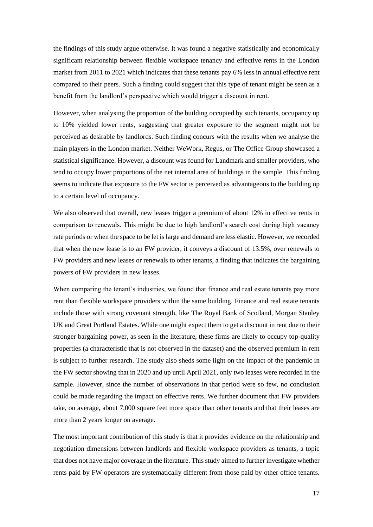the findings of this study argue otherwise. It was found a negative statistically and economically significant relationship between flexible workspace tenancy and effective rents in the London market from 2011 to 2021 which indicates that these tenants pay 6% less in annual effective rent compared to their peers. Such a finding could suggest that this type of tenant might be seen as a benefit from the landlord's perspective which would trigger a discount in rent.

However, when analysing the proportion of the building occupied by such tenants, occupancy up to 10% yielded lower rents, suggesting that greater exposure to the segment might not be perceived as desirable by landlords. Such finding concurs with the results when we analyse the main players in the London market. Neither WeWork, Regus, or The Office Group showcased a statistical significance. However, a discount was found for Landmark and smaller providers, who tend to occupy lower proportions of the net internal area of buildings in the sample. This finding seems to indicate that exposure to the FW sector is perceived as advantageous to the building up to a certain level of occupancy.

We also observed that overall, new leases trigger a premium of about 12% in effective rents in comparison to renewals. This might be due to high landlord's search cost during high vacancy rate periods or when the space to be let is large and demand are less elastic. However, we recorded that when the new lease is to an FW provider, it conveys a discount of 13.5%, over renewals to FW providers and new leases or renewals to other tenants, a finding that indicates the bargaining powers of FW providers in new leases.

When comparing the tenant's industries, we found that finance and real estate tenants pay more rent than flexible workspace providers within the same building. Finance and real estate tenants include those with strong covenant strength, like The Royal Bank of Scotland, Morgan Stanley UK and Great Portland Estates. While one might expect them to get a discount in rent due to their stronger bargaining power, as seen in the literature, these firms are likely to occupy top-quality properties (a characteristic that is not observed in the dataset) and the observed premium in rent is subject to further research. The study also sheds some light on the impact of the pandemic in the FW sector showing that in 2020 and up until April 2021, only two leases were recorded in the sample. However, since the number of observations in that period were so few, no conclusion could be made regarding the impact on effective rents. We further document that FW providers take, on average, about 7,000 square feet more space than other tenants and that their leases are more than 2 years longer on average.

The most important contribution of this study is that it provides evidence on the relationship and negotiation dimensions between landlords and flexible workspace providers as tenants, a topic that does not have major coverage in the literature. This study aimed to further investigate whether rents paid by FW operators are systematically different from those paid by other office tenants.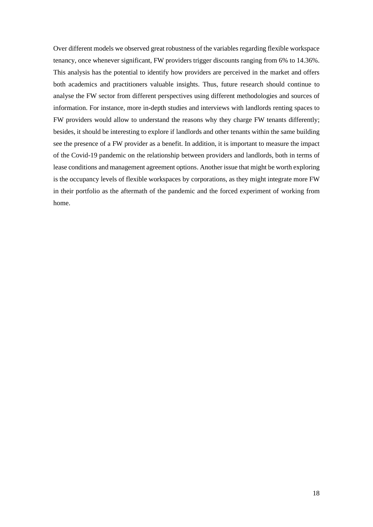Over different models we observed great robustness of the variables regarding flexible workspace tenancy, once whenever significant, FW providers trigger discounts ranging from 6% to 14.36%. This analysis has the potential to identify how providers are perceived in the market and offers both academics and practitioners valuable insights. Thus, future research should continue to analyse the FW sector from different perspectives using different methodologies and sources of information. For instance, more in-depth studies and interviews with landlords renting spaces to FW providers would allow to understand the reasons why they charge FW tenants differently; besides, it should be interesting to explore if landlords and other tenants within the same building see the presence of a FW provider as a benefit. In addition, it is important to measure the impact of the Covid-19 pandemic on the relationship between providers and landlords, both in terms of lease conditions and management agreement options. Another issue that might be worth exploring is the occupancy levels of flexible workspaces by corporations, as they might integrate more FW in their portfolio as the aftermath of the pandemic and the forced experiment of working from home.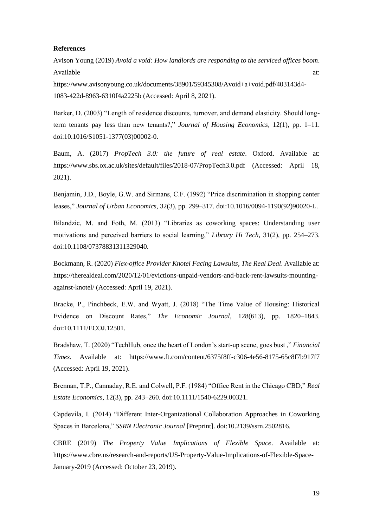#### **References**

Avison Young (2019) *Avoid a void: How landlords are responding to the serviced offices boom*. Available at:  $\alpha$ 

https://www.avisonyoung.co.uk/documents/38901/59345308/Avoid+a+void.pdf/403143d4- 1083-422d-8963-6310f4a2225b (Accessed: April 8, 2021).

Barker, D. (2003) "Length of residence discounts, turnover, and demand elasticity. Should longterm tenants pay less than new tenants?," *Journal of Housing Economics*, 12(1), pp. 1–11. doi:10.1016/S1051-1377(03)00002-0.

Baum, A. (2017) *PropTech 3.0: the future of real estate*. Oxford. Available at: https://www.sbs.ox.ac.uk/sites/default/files/2018-07/PropTech3.0.pdf (Accessed: April 18, 2021).

Benjamin, J.D., Boyle, G.W. and Sirmans, C.F. (1992) "Price discrimination in shopping center leases," *Journal of Urban Economics*, 32(3), pp. 299–317. doi:10.1016/0094-1190(92)90020-L.

Bilandzic, M. and Foth, M. (2013) "Libraries as coworking spaces: Understanding user motivations and perceived barriers to social learning," *Library Hi Tech*, 31(2), pp. 254–273. doi:10.1108/07378831311329040.

Bockmann, R. (2020) *Flex-office Provider Knotel Facing Lawsuits*, *The Real Deal*. Available at: https://therealdeal.com/2020/12/01/evictions-unpaid-vendors-and-back-rent-lawsuits-mountingagainst-knotel/ (Accessed: April 19, 2021).

Bracke, P., Pinchbeck, E.W. and Wyatt, J. (2018) "The Time Value of Housing: Historical Evidence on Discount Rates," *The Economic Journal*, 128(613), pp. 1820–1843. doi:10.1111/ECOJ.12501.

Bradshaw, T. (2020) "TechHub, once the heart of London's start-up scene, goes bust ," *Financial Times*. Available at: https://www.ft.com/content/6375f8ff-c306-4e56-8175-65c8f7b917f7 (Accessed: April 19, 2021).

Brennan, T.P., Cannaday, R.E. and Colwell, P.F. (1984) "Office Rent in the Chicago CBD," *Real Estate Economics*, 12(3), pp. 243–260. doi:10.1111/1540-6229.00321.

Capdevila, I. (2014) "Different Inter-Organizational Collaboration Approaches in Coworking Spaces in Barcelona," *SSRN Electronic Journal* [Preprint]. doi:10.2139/ssrn.2502816.

CBRE (2019) *The Property Value Implications of Flexible Space*. Available at: https://www.cbre.us/research-and-reports/US-Property-Value-Implications-of-Flexible-Space-January-2019 (Accessed: October 23, 2019).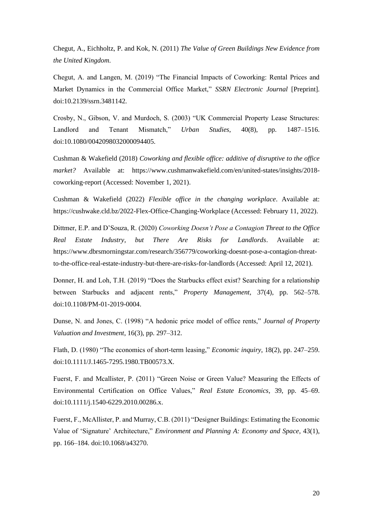Chegut, A., Eichholtz, P. and Kok, N. (2011) *The Value of Green Buildings New Evidence from the United Kingdom*.

Chegut, A. and Langen, M. (2019) "The Financial Impacts of Coworking: Rental Prices and Market Dynamics in the Commercial Office Market," *SSRN Electronic Journal* [Preprint]. doi:10.2139/ssrn.3481142.

Crosby, N., Gibson, V. and Murdoch, S. (2003) "UK Commercial Property Lease Structures: Landlord and Tenant Mismatch," *Urban Studies*, 40(8), pp. 1487–1516. doi:10.1080/0042098032000094405.

Cushman & Wakefield (2018) *Coworking and flexible office: additive of disruptive to the office market?* Available at: https://www.cushmanwakefield.com/en/united-states/insights/2018 coworking-report (Accessed: November 1, 2021).

Cushman & Wakefield (2022) *Flexible office in the changing workplace*. Available at: https://cushwake.cld.bz/2022-Flex-Office-Changing-Workplace (Accessed: February 11, 2022).

Dittmer, E.P. and D'Souza, R. (2020) *Coworking Doesn't Pose a Contagion Threat to the Office Real Estate Industry, but There Are Risks for Landlords*. Available at: https://www.dbrsmorningstar.com/research/356779/coworking-doesnt-pose-a-contagion-threatto-the-office-real-estate-industry-but-there-are-risks-for-landlords (Accessed: April 12, 2021).

Donner, H. and Loh, T.H. (2019) "Does the Starbucks effect exist? Searching for a relationship between Starbucks and adjacent rents," *Property Management*, 37(4), pp. 562–578. doi:10.1108/PM-01-2019-0004.

Dunse, N. and Jones, C. (1998) "A hedonic price model of office rents," *Journal of Property Valuation and Investment*, 16(3), pp. 297–312.

Flath, D. (1980) "The economics of short-term leasing," *Economic inquiry*, 18(2), pp. 247–259. doi:10.1111/J.1465-7295.1980.TB00573.X.

Fuerst, F. and Mcallister, P. (2011) "Green Noise or Green Value? Measuring the Effects of Environmental Certification on Office Values," *Real Estate Economics*, 39, pp. 45–69. doi:10.1111/j.1540-6229.2010.00286.x.

Fuerst, F., McAllister, P. and Murray, C.B. (2011) "Designer Buildings: Estimating the Economic Value of 'Signature' Architecture," *Environment and Planning A: Economy and Space*, 43(1), pp. 166–184. doi:10.1068/a43270.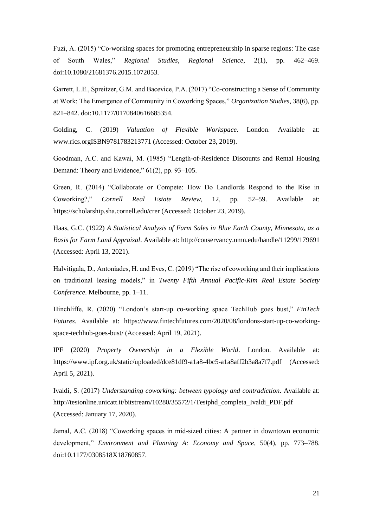Fuzi, A. (2015) "Co-working spaces for promoting entrepreneurship in sparse regions: The case of South Wales," *Regional Studies, Regional Science*, 2(1), pp. 462–469. doi:10.1080/21681376.2015.1072053.

Garrett, L.E., Spreitzer, G.M. and Bacevice, P.A. (2017) "Co-constructing a Sense of Community at Work: The Emergence of Community in Coworking Spaces," *Organization Studies*, 38(6), pp. 821–842. doi:10.1177/0170840616685354.

Golding, C. (2019) *Valuation of Flexible Workspace*. London. Available at: www.rics.orgISBN9781783213771 (Accessed: October 23, 2019).

Goodman, A.C. and Kawai, M. (1985) "Length-of-Residence Discounts and Rental Housing Demand: Theory and Evidence," 61(2), pp. 93–105.

Green, R. (2014) "Collaborate or Compete: How Do Landlords Respond to the Rise in Coworking?," *Cornell Real Estate Review*, 12, pp. 52–59. Available at: https://scholarship.sha.cornell.edu/crer (Accessed: October 23, 2019).

Haas, G.C. (1922) *A Statistical Analysis of Farm Sales in Blue Earth County, Minnesota, as a Basis for Farm Land Appraisal*. Available at: http://conservancy.umn.edu/handle/11299/179691 (Accessed: April 13, 2021).

Halvitigala, D., Antoniades, H. and Eves, C. (2019) "The rise of coworking and their implications on traditional leasing models," in *Twenty Fifth Annual Pacific-Rim Real Estate Society Conference*. Melbourne, pp. 1–11.

Hinchliffe, R. (2020) "London's start-up co-working space TechHub goes bust," *FinTech Futures*. Available at: https://www.fintechfutures.com/2020/08/londons-start-up-co-workingspace-techhub-goes-bust/ (Accessed: April 19, 2021).

IPF (2020) *Property Ownership in a Flexible World*. London. Available at: https://www.ipf.org.uk/static/uploaded/dce81df9-a1a8-4bc5-a1a8aff2b3a8a7f7.pdf (Accessed: April 5, 2021).

Ivaldi, S. (2017) *Understanding coworking: between typology and contradiction*. Available at: http://tesionline.unicatt.it/bitstream/10280/35572/1/Tesiphd\_completa\_Ivaldi\_PDF.pdf (Accessed: January 17, 2020).

Jamal, A.C. (2018) "Coworking spaces in mid-sized cities: A partner in downtown economic development," *Environment and Planning A: Economy and Space*, 50(4), pp. 773–788. doi:10.1177/0308518X18760857.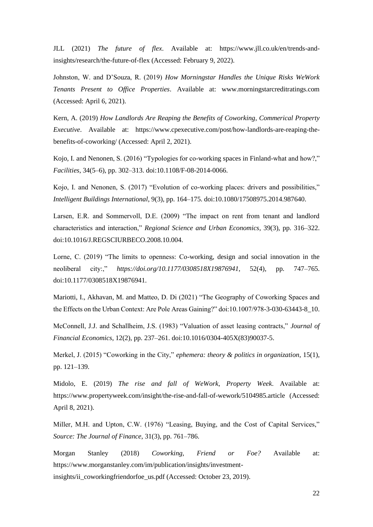JLL (2021) *The future of flex*. Available at: https://www.jll.co.uk/en/trends-andinsights/research/the-future-of-flex (Accessed: February 9, 2022).

Johnston, W. and D'Souza, R. (2019) *How Morningstar Handles the Unique Risks WeWork Tenants Present to Office Properties*. Available at: www.morningstarcreditratings.com (Accessed: April 6, 2021).

Kern, A. (2019) *How Landlords Are Reaping the Benefits of Coworking*, *Commerical Property Executive*. Available at: https://www.cpexecutive.com/post/how-landlords-are-reaping-thebenefits-of-coworking/ (Accessed: April 2, 2021).

Kojo, I. and Nenonen, S. (2016) "Typologies for co-working spaces in Finland-what and how?," *Facilities*, 34(5–6), pp. 302–313. doi:10.1108/F-08-2014-0066.

Kojo, I. and Nenonen, S. (2017) "Evolution of co-working places: drivers and possibilities," *Intelligent Buildings International*, 9(3), pp. 164–175. doi:10.1080/17508975.2014.987640.

Larsen, E.R. and Sommervoll, D.E. (2009) "The impact on rent from tenant and landlord characteristics and interaction," *Regional Science and Urban Economics*, 39(3), pp. 316–322. doi:10.1016/J.REGSCIURBECO.2008.10.004.

Lorne, C. (2019) "The limits to openness: Co-working, design and social innovation in the neoliberal city:," *https://doi.org/10.1177/0308518X19876941*, 52(4), pp. 747–765. doi:10.1177/0308518X19876941.

Mariotti, I., Akhavan, M. and Matteo, D. Di (2021) "The Geography of Coworking Spaces and the Effects on the Urban Context: Are Pole Areas Gaining?" doi:10.1007/978-3-030-63443-8\_10.

McConnell, J.J. and Schallheim, J.S. (1983) "Valuation of asset leasing contracts," *Journal of Financial Economics*, 12(2), pp. 237–261. doi:10.1016/0304-405X(83)90037-5.

Merkel, J. (2015) "Coworking in the City," *ephemera: theory & politics in organization*, 15(1), pp. 121–139.

Midolo, E. (2019) *The rise and fall of WeWork*, *Property Week*. Available at: https://www.propertyweek.com/insight/the-rise-and-fall-of-wework/5104985.article (Accessed: April 8, 2021).

Miller, M.H. and Upton, C.W. (1976) "Leasing, Buying, and the Cost of Capital Services," *Source: The Journal of Finance*, 31(3), pp. 761–786.

Morgan Stanley (2018) *Coworking, Friend or Foe?* Available at: https://www.morganstanley.com/im/publication/insights/investmentinsights/ii\_coworkingfriendorfoe\_us.pdf (Accessed: October 23, 2019).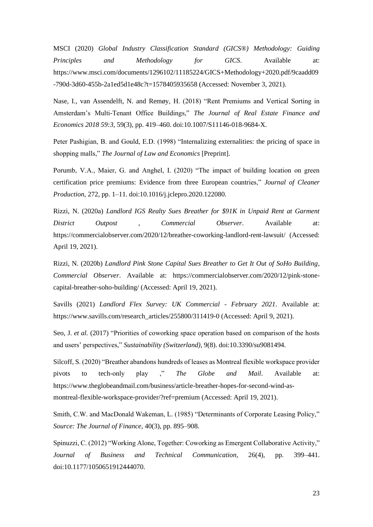MSCI (2020) *Global Industry Classification Standard (GICS®) Methodology: Guiding Principles and Methodology for GICS*. Available at: https://www.msci.com/documents/1296102/11185224/GICS+Methodology+2020.pdf/9caadd09 -790d-3d60-455b-2a1ed5d1e48c?t=1578405935658 (Accessed: November 3, 2021).

Nase, I., van Assendelft, N. and Remøy, H. (2018) "Rent Premiums and Vertical Sorting in Amsterdam's Multi-Tenant Office Buildings," *The Journal of Real Estate Finance and Economics 2018 59:3*, 59(3), pp. 419–460. doi:10.1007/S11146-018-9684-X.

Peter Pashigian, B. and Gould, E.D. (1998) "Internalizing externalities: the pricing of space in shopping malls," *The Journal of Law and Economics* [Preprint].

Porumb, V.A., Maier, G. and Anghel, I. (2020) "The impact of building location on green certification price premiums: Evidence from three European countries," *Journal of Cleaner Production*, 272, pp. 1–11. doi:10.1016/j.jclepro.2020.122080.

Rizzi, N. (2020a) *Landlord IGS Realty Sues Breather for \$91K in Unpaid Rent at Garment District Outpost* , *Commercial Observer*. Available at: https://commercialobserver.com/2020/12/breather-coworking-landlord-rent-lawsuit/ (Accessed: April 19, 2021).

Rizzi, N. (2020b) *Landlord Pink Stone Capital Sues Breather to Get It Out of SoHo Building*, *Commercial Observer*. Available at: https://commercialobserver.com/2020/12/pink-stonecapital-breather-soho-building/ (Accessed: April 19, 2021).

Savills (2021) *Landlord Flex Survey: UK Commercial - February 2021*. Available at: https://www.savills.com/research\_articles/255800/311419-0 (Accessed: April 9, 2021).

Seo, J. *et al.* (2017) "Priorities of coworking space operation based on comparison of the hosts and users' perspectives," *Sustainability (Switzerland)*, 9(8). doi:10.3390/su9081494.

Silcoff, S. (2020) "Breather abandons hundreds of leases as Montreal flexible workspace provider pivots to tech-only play ," *The Globe and Mail*. Available at: https://www.theglobeandmail.com/business/article-breather-hopes-for-second-wind-asmontreal-flexible-workspace-provider/?ref=premium (Accessed: April 19, 2021).

Smith, C.W. and MacDonald Wakeman, L. (1985) "Determinants of Corporate Leasing Policy," *Source: The Journal of Finance*, 40(3), pp. 895–908.

Spinuzzi, C. (2012) "Working Alone, Together: Coworking as Emergent Collaborative Activity," *Journal of Business and Technical Communication*, 26(4), pp. 399–441. doi:10.1177/1050651912444070.